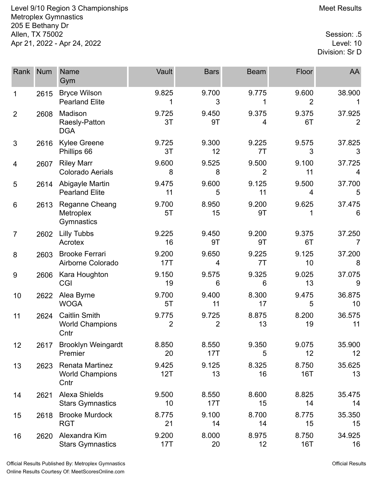Level 9/10 Region 3 Championships Meet Results Metroplex Gymnastics 205 E Bethany Dr Allen, TX 75002 Session: .5 Apr 21, 2022 - Apr 24, 2022

Division: Sr D

| Rank           | <b>Num</b> | <b>Name</b><br>Gym                                     | Vault                   | <b>Bars</b>             | <b>Beam</b>             | Floor               | AA           |
|----------------|------------|--------------------------------------------------------|-------------------------|-------------------------|-------------------------|---------------------|--------------|
| 1              | 2615       | <b>Bryce Wilson</b><br><b>Pearland Elite</b>           | 9.825                   | 9.700<br>3              | 9.775                   | 9.600<br>2          | 38.900       |
| $\overline{2}$ | 2608       | Madison<br>Raesly-Patton<br><b>DGA</b>                 | 9.725<br>3T             | 9.450<br>9T             | 9.375<br>4              | 9.375<br>6T         | 37.925<br>2  |
| 3              | 2616       | <b>Kylee Greene</b><br>Phillips 66                     | 9.725<br>3T             | 9.300<br>12             | 9.225<br>7T             | 9.575<br>3          | 37.825<br>3  |
| 4              | 2607       | <b>Riley Marr</b><br><b>Colorado Aerials</b>           | 9.600<br>8              | 9.525<br>8              | 9.500<br>$\overline{2}$ | 9.100<br>11         | 37.725<br>4  |
| 5              | 2614       | Abigayle Martin<br><b>Pearland Elite</b>               | 9.475<br>11             | 9.600<br>5              | 9.125<br>11             | 9.500<br>4          | 37.700<br>5  |
| 6              | 2613       | Reganne Cheang<br>Metroplex<br>Gymnastics              | 9.700<br>5T             | 8.950<br>15             | 9.200<br>9T             | 9.625<br>1          | 37.475<br>6  |
| $\overline{7}$ | 2602       | <b>Lilly Tubbs</b><br>Acrotex                          | 9.225<br>16             | 9.450<br>9T             | 9.200<br>9T             | 9.375<br>6T         | 37.250<br>7  |
| 8              | 2603       | <b>Brooke Ferrari</b><br>Airborne Colorado             | 9.200<br>17T            | 9.650<br>4              | 9.225<br>7T             | 9.125<br>10         | 37.200<br>8  |
| 9              | 2606       | Kara Houghton<br><b>CGI</b>                            | 9.150<br>19             | 9.575<br>6              | 9.325<br>6              | 9.025<br>13         | 37.075<br>9  |
| 10             | 2622       | Alea Byrne<br><b>WOGA</b>                              | 9.700<br>5T             | 9.400<br>11             | 8.300<br>17             | 9.475<br>5          | 36.875<br>10 |
| 11             | 2624       | <b>Caitlin Smith</b><br><b>World Champions</b><br>Cntr | 9.775<br>$\overline{2}$ | 9.725<br>$\overline{2}$ | 8.875<br>13             | 8.200<br>19         | 36.575<br>11 |
| 12             | 2617       | <b>Brooklyn Weingardt</b><br>Premier                   | 8.850<br>20             | 8.550<br>17T            | 9.350<br>5              | 9.075<br>12         | 35.900<br>12 |
| 13             | 2623       | Renata Martinez<br><b>World Champions</b><br>Cntr      | 9.425<br>12T            | 9.125<br>13             | 8.325<br>16             | 8.750<br><b>16T</b> | 35.625<br>13 |
| 14             | 2621       | <b>Alexa Shields</b><br><b>Stars Gymnastics</b>        | 9.500<br>10             | 8.550<br>17T            | 8.600<br>15             | 8.825<br>14         | 35.475<br>14 |
| 15             | 2618       | <b>Brooke Murdock</b><br><b>RGT</b>                    | 8.775<br>21             | 9.100<br>14             | 8.700<br>14             | 8.775<br>15         | 35.350<br>15 |
| 16             | 2620       | Alexandra Kim<br><b>Stars Gymnastics</b>               | 9.200<br>17T            | 8.000<br>20             | 8.975<br>12             | 8.750<br>16T        | 34.925<br>16 |